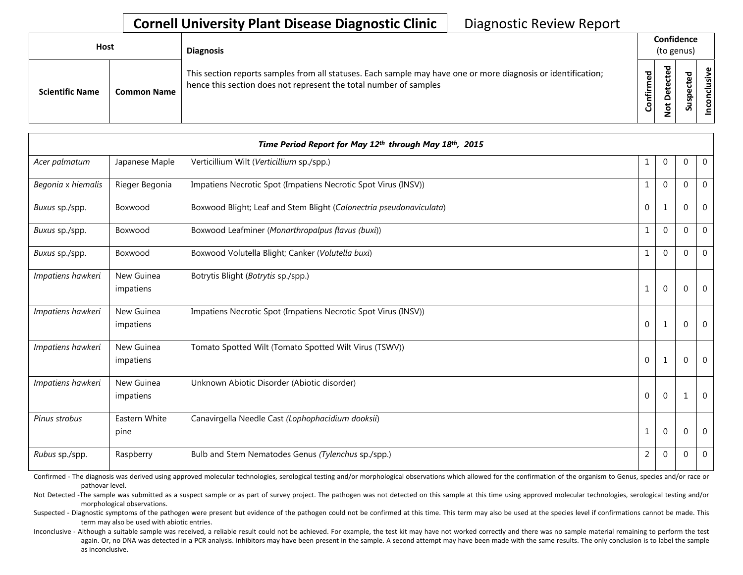## **Cornell University Plant Disease Diagnostic Clinic** | Diagnostic Review Report

| <b>Host</b>            |                    | <b>Diagnosis</b>                                                                                                                                                                   |                          | Confidence<br>(to genus)                                           |             |                       |
|------------------------|--------------------|------------------------------------------------------------------------------------------------------------------------------------------------------------------------------------|--------------------------|--------------------------------------------------------------------|-------------|-----------------------|
| <b>Scientific Name</b> | <b>Common Name</b> | This section reports samples from all statuses. Each sample may have one or more diagnosis or identification;<br>hence this section does not represent the total number of samples | ЪЪ<br>∴.<br>둘<br>$\circ$ | ᅙ<br>Φ<br>ں<br>Φ<br>پ<br>٥<br>۵<br>$\overline{\sigma}$<br><b>.</b> | ᇴ<br>ပ<br>S | ഄ<br>lusiv<br>᠊ᠣ<br>S |

| Time Period Report for May 12th through May 18th, 2015 |                         |                                                                     |              |                |             |              |  |
|--------------------------------------------------------|-------------------------|---------------------------------------------------------------------|--------------|----------------|-------------|--------------|--|
| Acer palmatum                                          | Japanese Maple          | Verticillium Wilt (Verticillium sp./spp.)                           | 1            | $\mathbf{0}$   | $\mathbf 0$ | $\mathbf 0$  |  |
| Begonia x hiemalis                                     | Rieger Begonia          | Impatiens Necrotic Spot (Impatiens Necrotic Spot Virus (INSV))      | 1            | $\Omega$       | $\Omega$    | $\mathbf{0}$ |  |
| Buxus sp./spp.                                         | Boxwood                 | Boxwood Blight; Leaf and Stem Blight (Calonectria pseudonaviculata) | $\Omega$     | $\mathbf{1}$   | $\Omega$    | $\mathbf{0}$ |  |
| Buxus sp./spp.                                         | Boxwood                 | Boxwood Leafminer (Monarthropalpus flavus (buxi))                   | $\mathbf{1}$ | $\Omega$       | $\Omega$    | $\mathbf 0$  |  |
| Buxus sp./spp.                                         | Boxwood                 | Boxwood Volutella Blight; Canker (Volutella buxi)                   | $\mathbf{1}$ | $\Omega$       | $\Omega$    | $\Omega$     |  |
| Impatiens hawkeri                                      | New Guinea<br>impatiens | Botrytis Blight (Botrytis sp./spp.)                                 | $\mathbf{1}$ | $\mathbf 0$    | $\Omega$    | $\mathbf 0$  |  |
| Impatiens hawkeri                                      | New Guinea<br>impatiens | Impatiens Necrotic Spot (Impatiens Necrotic Spot Virus (INSV))      | $\mathbf 0$  | $\mathbf{1}$   | $\Omega$    | $\mathbf 0$  |  |
| Impatiens hawkeri                                      | New Guinea<br>impatiens | Tomato Spotted Wilt (Tomato Spotted Wilt Virus (TSWV))              | $\mathbf 0$  | 1              | $\Omega$    | 0            |  |
| Impatiens hawkeri                                      | New Guinea<br>impatiens | Unknown Abiotic Disorder (Abiotic disorder)                         | $\mathbf{0}$ | $\mathbf 0$    | 1           | $\mathbf 0$  |  |
| Pinus strobus                                          | Eastern White<br>pine   | Canavirgella Needle Cast (Lophophacidium dooksii)                   | 1            | $\overline{0}$ | 0           | 0            |  |
| Rubus sp./spp.                                         | Raspberry               | Bulb and Stem Nematodes Genus (Tylenchus sp./spp.)                  | 2            | $\mathbf{0}$   | $\mathbf 0$ | $\mathbf 0$  |  |

Confirmed - The diagnosis was derived using approved molecular technologies, serological testing and/or morphological observations which allowed for the confirmation of the organism to Genus, species and/or race or pathovar level.

Not Detected -The sample was submitted as a suspect sample or as part of survey project. The pathogen was not detected on this sample at this time using approved molecular technologies, serological testing and/or morphological observations.

Suspected - Diagnostic symptoms of the pathogen were present but evidence of the pathogen could not be confirmed at this time. This term may also be used at the species level if confirmations cannot be made. This term may also be used with abiotic entries.

Inconclusive - Although a suitable sample was received, a reliable result could not be achieved. For example, the test kit may have not worked correctly and there was no sample material remaining to perform the test again. Or, no DNA was detected in a PCR analysis. Inhibitors may have been present in the sample. A second attempt may have been made with the same results. The only conclusion is to label the sample as inconclusive.